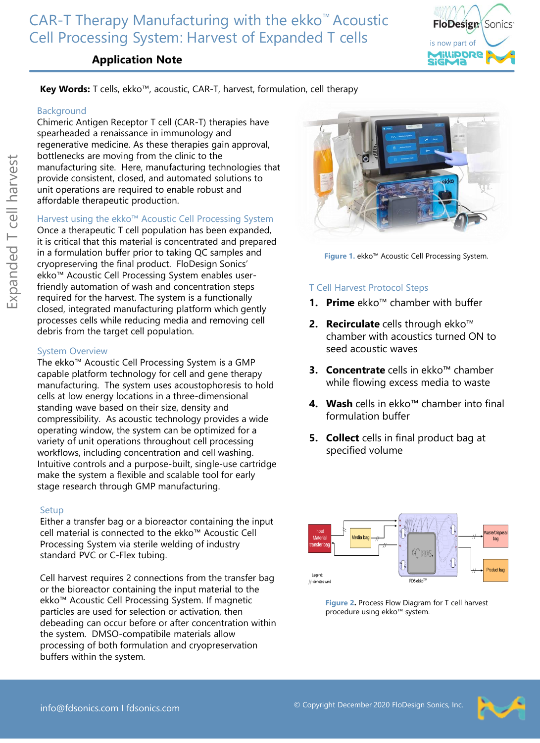# CAR-T Therapy Manufacturing with the ekko™ Acoustic Cell Processing System: Harvest of Expanded T cells



# **Application Note**

## **Key Words:** T cells, ekko™, acoustic, CAR-T, harvest, formulation, cell therapy

#### Background

Chimeric Antigen Receptor T cell (CAR-T) therapies have spearheaded a renaissance in immunology and regenerative medicine. As these therapies gain approval, bottlenecks are moving from the clinic to the manufacturing site. Here, manufacturing technologies that provide consistent, closed, and automated solutions to unit operations are required to enable robust and affordable therapeutic production.

### Harvest using the ekko™ Acoustic Cell Processing System

Once a therapeutic T cell population has been expanded, it is critical that this material is concentrated and prepared in a formulation buffer prior to taking QC samples and cryopreserving the final product. FloDesign Sonics' ekko™ Acoustic Cell Processing System enables userfriendly automation of wash and concentration steps required for the harvest. The system is a functionally closed, integrated manufacturing platform which gently processes cells while reducing media and removing cell debris from the target cell population.

### System Overview

The ekko™ Acoustic Cell Processing System is a GMP capable platform technology for cell and gene therapy manufacturing. The system uses acoustophoresis to hold cells at low energy locations in a three-dimensional standing wave based on their size, density and compressibility. As acoustic technology provides a wide operating window, the system can be optimized for a variety of unit operations throughout cell processing workflows, including concentration and cell washing. Intuitive controls and a purpose-built, single-use cartridge make the system a flexible and scalable tool for early stage research through GMP manufacturing.

## Setup

Either a transfer bag or a bioreactor containing the input cell material is connected to the ekko™ Acoustic Cell Processing System via sterile welding of industry standard PVC or C-Flex tubing.

Cell harvest requires 2 connections from the transfer bag or the bioreactor containing the input material to the ekko™ Acoustic Cell Processing System. If magnetic particles are used for selection or activation, then debeading can occur before or after concentration within the system. DMSO-compatibile materials allow processing of both formulation and cryopreservation buffers within the system.



**Figure 1.** ekko™ Acoustic Cell Processing System.

# T Cell Harvest Protocol Steps

- **1. Prime** ekko™ chamber with buffer
- **2. Recirculate** cells through ekko™ chamber with acoustics turned ON to seed acoustic waves
- **3. Concentrate** cells in ekko™ chamber while flowing excess media to waste
- **4. Wash** cells in ekko™ chamber into final formulation buffer
- **5. Collect** cells in final product bag at specified volume



**Figure 2.** Process Flow Diagram for T cell harvest procedure using ekko™ system.